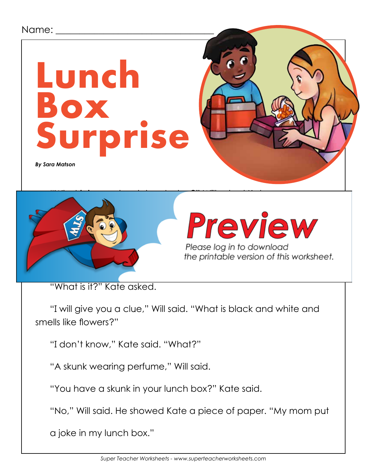#### Name:

# **Lunch Box Surprise**

*By Sara Matson*



# $\sqrt{a}$  ,  $\sqrt{a}$  ,  $\sqrt{a}$  have a ham sandwich and  $\sqrt{a}$  have a ham sandwich and  $\sqrt{a}$

Please log in to download<br>the printable version of this worksheet.

"What is it?" Kate asked.

"I will give you a clue," Will said. "What is black and white and smells like flowers?"

"I don't know," Kate said. "What?"

"A skunk wearing perfume," Will said.

"You have a skunk in your lunch box?" Kate said.

"No," Will said. He showed Kate a piece of paper. "My mom put

a joke in my lunch box."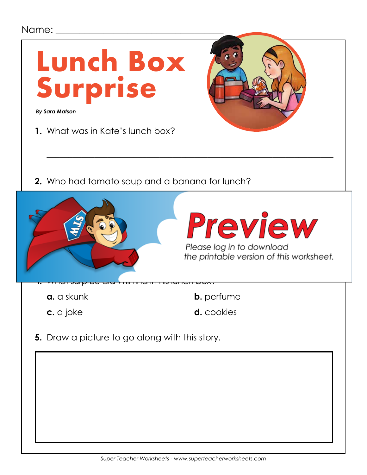#### Name: